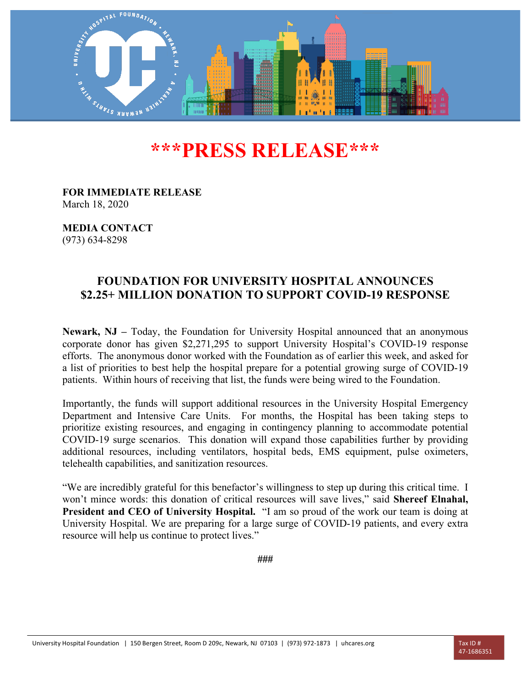

## **\*\*\*PRESS RELEASE\*\*\***

**FOR IMMEDIATE RELEASE** March 18, 2020

**MEDIA CONTACT** (973) 634-8298

## **FOUNDATION FOR UNIVERSITY HOSPITAL ANNOUNCES \$2.25+ MILLION DONATION TO SUPPORT COVID-19 RESPONSE**

**Newark, NJ –** Today, the Foundation for University Hospital announced that an anonymous corporate donor has given \$2,271,295 to support University Hospital's COVID-19 response efforts. The anonymous donor worked with the Foundation as of earlier this week, and asked for a list of priorities to best help the hospital prepare for a potential growing surge of COVID-19 patients. Within hours of receiving that list, the funds were being wired to the Foundation.

Importantly, the funds will support additional resources in the University Hospital Emergency Department and Intensive Care Units. For months, the Hospital has been taking steps to prioritize existing resources, and engaging in contingency planning to accommodate potential COVID-19 surge scenarios. This donation will expand those capabilities further by providing additional resources, including ventilators, hospital beds, EMS equipment, pulse oximeters, telehealth capabilities, and sanitization resources.

"We are incredibly grateful for this benefactor's willingness to step up during this critical time. I won't mince words: this donation of critical resources will save lives," said **Shereef Elnahal, President and CEO of University Hospital.** "I am so proud of the work our team is doing at University Hospital. We are preparing for a large surge of COVID-19 patients, and every extra resource will help us continue to protect lives."

**###**